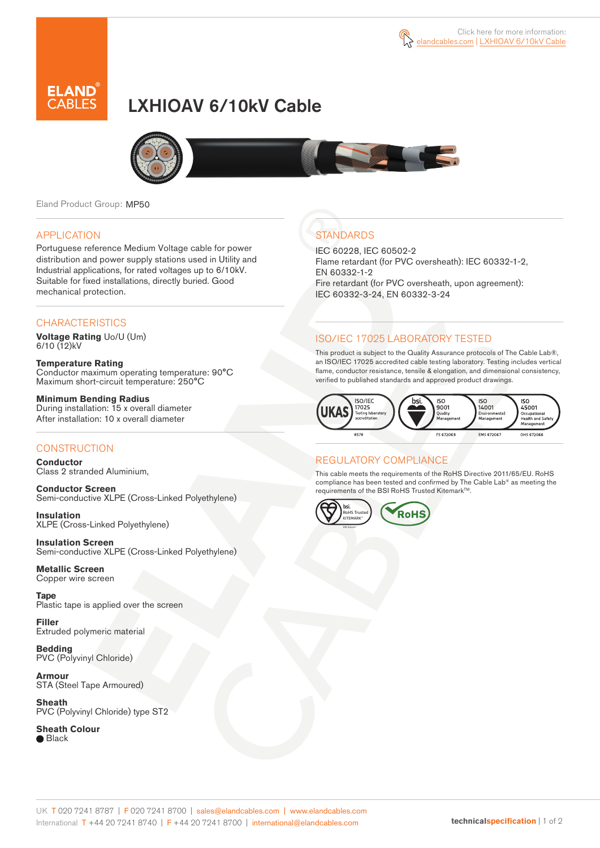

# LXHIOAV 6/10kV Cable



Eland Product Group: MP50

#### APPLICATION

Portuguese reference Medium Voltage cable for power distribution and power supply stations used in Utility and Industrial applications, for rated voltages up to 6/10kV. Suitable for fixed installations, directly buried. Good mechanical protection.

#### **CHARACTERISTICS**

**Voltage Rating** Uo/U (Um) 6/10 (12)kV

**Temperature Rating** Conductor maximum operating temperature: 90°C Maximum short-circuit temperature: 250°C

**Minimum Bending Radius** During installation: 15 x overall diameter After installation: 10 x overall diameter

### **CONSTRUCTION**

**Conductor**  Class 2 stranded Aluminium,

**Conductor Screen** Semi-conductive XLPE (Cross-Linked Polyethylene)

**Insulation** XLPE (Cross-Linked Polyethylene)

**Insulation Screen** Semi-conductive XLPE (Cross-Linked Polyethylene)

**Metallic Screen**  Copper wire screen

**Tape**  Plastic tape is applied over the screen

**Filler** Extruded polymeric material

**Bedding** PVC (Polyvinyl Chloride)

**Armour** STA (Steel Tape Armoured)

**Sheath** PVC (Polyvinyl Chloride) type ST2

**Sheath Colour ■** Black

## **STANDARDS**

IEC 60228, IEC 60502-2 Flame retardant (for PVC oversheath): IEC 60332-1-2, EN 60332-1-2 Fire retardant (for PVC oversheath, upon agreement): IEC 60332-3-24, EN 60332-3-24

### ISO/IEC 17025 LABORATORY TESTED

This product is subject to the Quality Assurance protocols of The Cable Lab®, an ISO/IEC 17025 accredited cable testing laboratory. Testing includes vertical flame, conductor resistance, tensile & elongation, and dimensional consistency, verified to published standards and approved product drawings.



### REGULATORY COMPLIANCE

This cable meets the requirements of the RoHS Directive 2011/65/EU. RoHS compliance has been tested and confirmed by The Cable Lab® as meeting the requirements of the BSI RoHS Trusted Kitemark™.